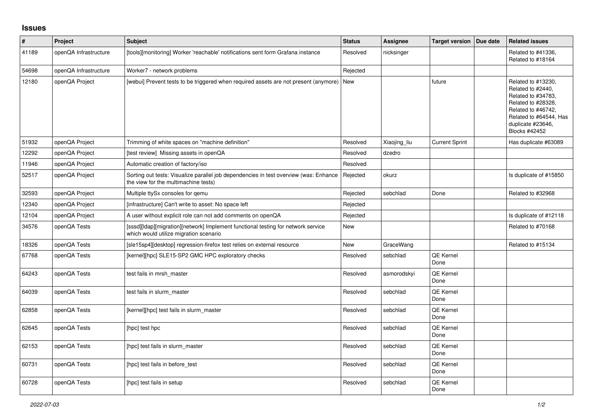## **Issues**

| $\pmb{\#}$ | Project               | <b>Subject</b>                                                                                                                | <b>Status</b> | Assignee     | <b>Target version</b>    | Due date | <b>Related issues</b>                                                                                                                                                            |
|------------|-----------------------|-------------------------------------------------------------------------------------------------------------------------------|---------------|--------------|--------------------------|----------|----------------------------------------------------------------------------------------------------------------------------------------------------------------------------------|
| 41189      | openQA Infrastructure | [tools][monitoring] Worker 'reachable' notifications sent form Grafana instance                                               | Resolved      | nicksinger   |                          |          | Related to #41336.<br>Related to #18164                                                                                                                                          |
| 54698      | openQA Infrastructure | Worker7 - network problems                                                                                                    | Rejected      |              |                          |          |                                                                                                                                                                                  |
| 12180      | openQA Project        | [webui] Prevent tests to be triggered when required assets are not present (anymore)                                          | <b>New</b>    |              | future                   |          | Related to #13230,<br>Related to #2440.<br>Related to #34783.<br>Related to #28328.<br>Related to #46742.<br>Related to #64544, Has<br>duplicate #23646,<br><b>Blocks #42452</b> |
| 51932      | openQA Project        | Trimming of white spaces on "machine definition"                                                                              | Resolved      | Xiaojing_liu | <b>Current Sprint</b>    |          | Has duplicate #63089                                                                                                                                                             |
| 12292      | openQA Project        | [test review] Missing assets in openQA                                                                                        | Resolved      | dzedro       |                          |          |                                                                                                                                                                                  |
| 11946      | openQA Project        | Automatic creation of factory/iso                                                                                             | Resolved      |              |                          |          |                                                                                                                                                                                  |
| 52517      | openQA Project        | Sorting out tests: Visualize parallel job dependencies in test overview (was: Enhance<br>the view for the multimachine tests) | Rejected      | okurz        |                          |          | Is duplicate of #15850                                                                                                                                                           |
| 32593      | openQA Project        | Multiple ttySx consoles for gemu                                                                                              | Rejected      | sebchlad     | Done                     |          | Related to #32968                                                                                                                                                                |
| 12340      | openQA Project        | [infrastructure] Can't write to asset: No space left                                                                          | Rejected      |              |                          |          |                                                                                                                                                                                  |
| 12104      | openQA Project        | A user without explicit role can not add comments on openQA                                                                   | Rejected      |              |                          |          | Is duplicate of #12118                                                                                                                                                           |
| 34576      | openQA Tests          | [sssd][Idap][migration][network] Implement functional testing for network service<br>which would utilize migration scenario   | New           |              |                          |          | Related to #70168                                                                                                                                                                |
| 18326      | openQA Tests          | [sle15sp4][desktop] regression-firefox test relies on external resource                                                       | New           | GraceWang    |                          |          | Related to #15134                                                                                                                                                                |
| 67768      | openQA Tests          | [kernel][hpc] SLE15-SP2 GMC HPC exploratory checks                                                                            | Resolved      | sebchlad     | <b>QE Kernel</b><br>Done |          |                                                                                                                                                                                  |
| 64243      | openQA Tests          | test fails in mrsh_master                                                                                                     | Resolved      | asmorodskyi  | <b>QE Kernel</b><br>Done |          |                                                                                                                                                                                  |
| 64039      | openQA Tests          | test fails in slurm master                                                                                                    | Resolved      | sebchlad     | QE Kernel<br>Done        |          |                                                                                                                                                                                  |
| 62858      | openQA Tests          | [kernel][hpc] test fails in slurm master                                                                                      | Resolved      | sebchlad     | <b>QE Kernel</b><br>Done |          |                                                                                                                                                                                  |
| 62645      | openQA Tests          | [hpc] test hpc                                                                                                                | Resolved      | sebchlad     | <b>QE Kernel</b><br>Done |          |                                                                                                                                                                                  |
| 62153      | openQA Tests          | [hpc] test fails in slurm_master                                                                                              | Resolved      | sebchlad     | QE Kernel<br>Done        |          |                                                                                                                                                                                  |
| 60731      | openQA Tests          | [hpc] test fails in before test                                                                                               | Resolved      | sebchlad     | <b>QE Kernel</b><br>Done |          |                                                                                                                                                                                  |
| 60728      | openQA Tests          | [hpc] test fails in setup                                                                                                     | Resolved      | sebchlad     | QE Kernel<br>Done        |          |                                                                                                                                                                                  |